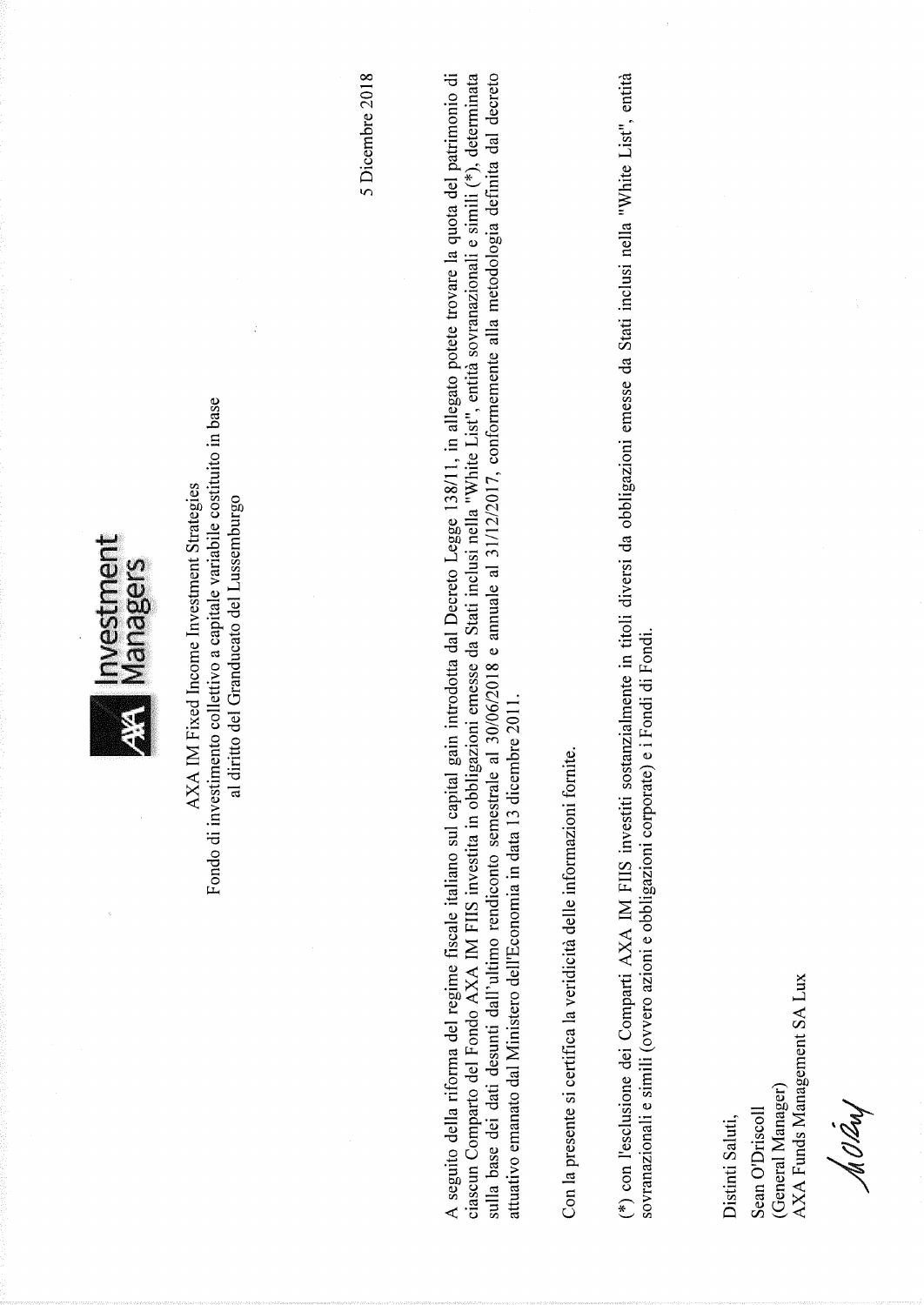

Fondo di investimento collettivo a capitale variabile costituito in base AXA IM Fixed Income Investment Strategies al diritto del Granducato del Lussemburgo 5 Dicembre 2018

A seguito della riforma del regime fiscale italiano sul capital gain introdotta dal Decreto Legge 138/11, in allegato potete trovare la quota del patrimonio di ciascun Comparto del Fondo AXA IM FIIS investita in obbligazioni emesse da Stati inclusi nella "White List", entità sovranazionali e simili (\*), determinata sulla base dei dati desunti dall'ultimo rendiconto semestrale al 30/06/2018 e annuale al 31/12/2017, conformemente alla metodologia definita dal decreto attuativo emanato dal Ministero dell'Economia in data 13 dicembre 2011.

Con la presente si certifica la veridicità delle informazioni fornite.

(\*) con l'esclusione dei Comparti AXA IM FIIS investiti sostanzialmente in titoli diversi da obbligazioni emesse da Stati inclusi nella "White List", entità sovranazionali e simili (ovvero azioni e obbligazioni corporate) e i Fondi di Fondi.

Sean O'Driscoll Distinti Saluti,

AXA Funds Management SA Lux (General Manager)

MORN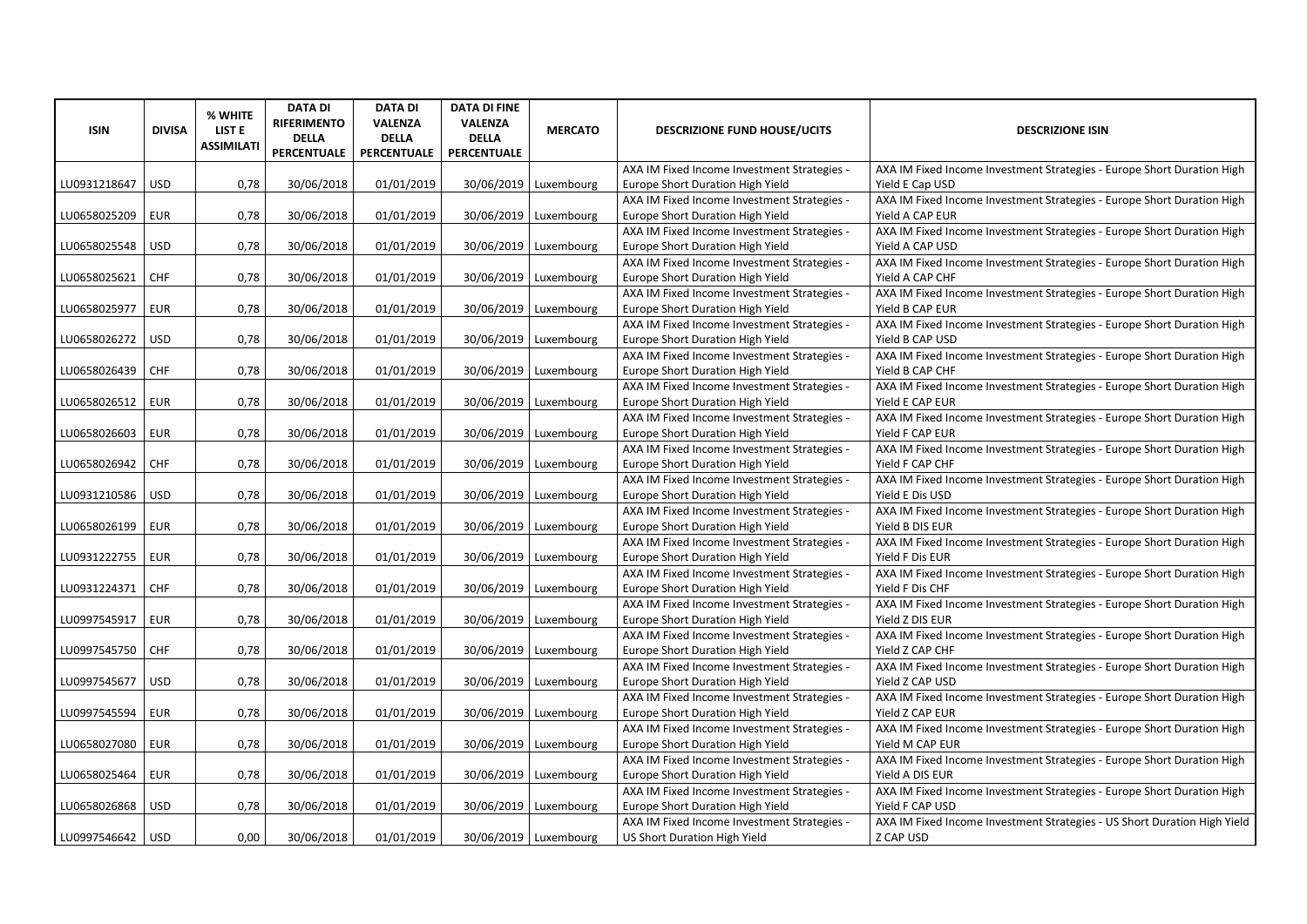| <b>ISIN</b>  | <b>DIVISA</b> | % WHITE<br><b>LIST E</b><br><b>ASSIMILATI</b> | <b>DATA DI</b><br><b>RIFERIMENTO</b><br><b>DELLA</b><br><b>PERCENTUALE</b> | <b>DATA DI</b><br>VALENZA<br><b>DELLA</b><br>PERCENTUALE | <b>DATA DI FINE</b><br><b>VALENZA</b><br><b>DELLA</b><br>PERCENTUALE | <b>MERCATO</b>          | <b>DESCRIZIONE FUND HOUSE/UCITS</b>                                             | <b>DESCRIZIONE ISIN</b>                                                                   |
|--------------|---------------|-----------------------------------------------|----------------------------------------------------------------------------|----------------------------------------------------------|----------------------------------------------------------------------|-------------------------|---------------------------------------------------------------------------------|-------------------------------------------------------------------------------------------|
| LU0931218647 | <b>USD</b>    | 0,78                                          | 30/06/2018                                                                 | 01/01/2019                                               | 30/06/2019                                                           | Luxembourg              | AXA IM Fixed Income Investment Strategies -<br>Europe Short Duration High Yield | AXA IM Fixed Income Investment Strategies - Europe Short Duration High<br>Yield E Cap USD |
|              |               |                                               |                                                                            |                                                          |                                                                      |                         | AXA IM Fixed Income Investment Strategies -                                     | AXA IM Fixed Income Investment Strategies - Europe Short Duration High                    |
| LU0658025209 | <b>EUR</b>    | 0,78                                          | 30/06/2018                                                                 | 01/01/2019                                               | 30/06/2019                                                           | Luxembourg              | Europe Short Duration High Yield                                                | Yield A CAP EUR                                                                           |
|              |               |                                               |                                                                            |                                                          |                                                                      |                         | AXA IM Fixed Income Investment Strategies -                                     | AXA IM Fixed Income Investment Strategies - Europe Short Duration High                    |
| LU0658025548 | <b>USD</b>    | 0,78                                          | 30/06/2018                                                                 | 01/01/2019                                               | 30/06/2019                                                           | Luxembourg              | Europe Short Duration High Yield                                                | Yield A CAP USD                                                                           |
|              |               |                                               |                                                                            |                                                          |                                                                      |                         | AXA IM Fixed Income Investment Strategies -                                     | AXA IM Fixed Income Investment Strategies - Europe Short Duration High                    |
| LU0658025621 | CHF           | 0,78                                          | 30/06/2018                                                                 | 01/01/2019                                               | 30/06/2019                                                           | Luxembourg              | Europe Short Duration High Yield                                                | Yield A CAP CHF                                                                           |
|              |               |                                               |                                                                            |                                                          |                                                                      |                         | AXA IM Fixed Income Investment Strategies -                                     | AXA IM Fixed Income Investment Strategies - Europe Short Duration High                    |
| LU0658025977 | <b>EUR</b>    | 0,78                                          | 30/06/2018                                                                 | 01/01/2019                                               | 30/06/2019                                                           | Luxembourg              | Europe Short Duration High Yield                                                | Yield B CAP EUR                                                                           |
|              |               |                                               |                                                                            |                                                          |                                                                      |                         | AXA IM Fixed Income Investment Strategies -                                     | AXA IM Fixed Income Investment Strategies - Europe Short Duration High                    |
| LU0658026272 | <b>USD</b>    | 0,78                                          | 30/06/2018                                                                 | 01/01/2019                                               | 30/06/2019                                                           | Luxembourg              | Europe Short Duration High Yield                                                | Yield B CAP USD                                                                           |
|              |               |                                               |                                                                            |                                                          |                                                                      |                         | AXA IM Fixed Income Investment Strategies -                                     | AXA IM Fixed Income Investment Strategies - Europe Short Duration High                    |
| LU0658026439 | <b>CHF</b>    | 0,78                                          | 30/06/2018                                                                 | 01/01/2019                                               |                                                                      | 30/06/2019   Luxembourg | Europe Short Duration High Yield                                                | Yield B CAP CHF                                                                           |
|              |               |                                               |                                                                            |                                                          |                                                                      |                         | AXA IM Fixed Income Investment Strategies -                                     | AXA IM Fixed Income Investment Strategies - Europe Short Duration High                    |
| LU0658026512 | <b>EUR</b>    | 0,78                                          | 30/06/2018                                                                 | 01/01/2019                                               | 30/06/2019                                                           | Luxembourg              | Europe Short Duration High Yield                                                | Yield E CAP EUR                                                                           |
|              |               |                                               |                                                                            |                                                          |                                                                      |                         | AXA IM Fixed Income Investment Strategies -                                     | AXA IM Fixed Income Investment Strategies - Europe Short Duration High                    |
| LU0658026603 | <b>EUR</b>    | 0,78                                          | 30/06/2018                                                                 | 01/01/2019                                               | 30/06/2019                                                           | Luxembourg              | Europe Short Duration High Yield                                                | Yield F CAP EUR                                                                           |
|              |               |                                               |                                                                            |                                                          |                                                                      |                         | AXA IM Fixed Income Investment Strategies -                                     | AXA IM Fixed Income Investment Strategies - Europe Short Duration High                    |
| LU0658026942 | <b>CHF</b>    | 0,78                                          | 30/06/2018                                                                 | 01/01/2019                                               | 30/06/2019                                                           | Luxembourg              | Europe Short Duration High Yield                                                | Yield F CAP CHF                                                                           |
|              |               |                                               |                                                                            |                                                          |                                                                      |                         | AXA IM Fixed Income Investment Strategies -                                     | AXA IM Fixed Income Investment Strategies - Europe Short Duration High                    |
| LU0931210586 | <b>USD</b>    | 0,78                                          | 30/06/2018                                                                 | 01/01/2019                                               |                                                                      | 30/06/2019   Luxembourg | Europe Short Duration High Yield                                                | Yield E Dis USD                                                                           |
|              |               |                                               |                                                                            |                                                          |                                                                      |                         | AXA IM Fixed Income Investment Strategies -                                     | AXA IM Fixed Income Investment Strategies - Europe Short Duration High                    |
| LU0658026199 | <b>EUR</b>    | 0,78                                          | 30/06/2018                                                                 | 01/01/2019                                               |                                                                      | 30/06/2019   Luxembourg | Europe Short Duration High Yield                                                | Yield B DIS EUR                                                                           |
|              |               |                                               |                                                                            |                                                          |                                                                      |                         | AXA IM Fixed Income Investment Strategies -                                     | AXA IM Fixed Income Investment Strategies - Europe Short Duration High                    |
| LU0931222755 | <b>EUR</b>    | 0,78                                          | 30/06/2018                                                                 | 01/01/2019                                               | 30/06/2019                                                           | Luxembourg              | Europe Short Duration High Yield                                                | Yield F Dis EUR                                                                           |
|              |               |                                               |                                                                            |                                                          |                                                                      |                         | AXA IM Fixed Income Investment Strategies -                                     | AXA IM Fixed Income Investment Strategies - Europe Short Duration High                    |
| LU0931224371 | CHF           | 0,78                                          | 30/06/2018                                                                 | 01/01/2019                                               | 30/06/2019                                                           | Luxembourg              | Europe Short Duration High Yield                                                | Yield F Dis CHF                                                                           |
|              |               |                                               |                                                                            |                                                          |                                                                      |                         | AXA IM Fixed Income Investment Strategies -                                     | AXA IM Fixed Income Investment Strategies - Europe Short Duration High                    |
| LU0997545917 | <b>EUR</b>    | 0,78                                          | 30/06/2018                                                                 | 01/01/2019                                               | 30/06/2019                                                           | Luxembourg              | Europe Short Duration High Yield                                                | Yield Z DIS EUR                                                                           |
|              |               |                                               |                                                                            |                                                          |                                                                      |                         | AXA IM Fixed Income Investment Strategies -                                     | AXA IM Fixed Income Investment Strategies - Europe Short Duration High                    |
| LU0997545750 | CHF           | 0,78                                          | 30/06/2018                                                                 | 01/01/2019                                               | 30/06/2019                                                           | Luxembourg              | Europe Short Duration High Yield                                                | Yield Z CAP CHF                                                                           |
|              |               |                                               |                                                                            |                                                          |                                                                      |                         | AXA IM Fixed Income Investment Strategies -                                     | AXA IM Fixed Income Investment Strategies - Europe Short Duration High                    |
| LU0997545677 | <b>USD</b>    | 0,78                                          | 30/06/2018                                                                 | 01/01/2019                                               | 30/06/2019                                                           | Luxembourg              | Europe Short Duration High Yield                                                | Yield Z CAP USD                                                                           |
|              |               |                                               |                                                                            |                                                          |                                                                      |                         | AXA IM Fixed Income Investment Strategies -                                     | AXA IM Fixed Income Investment Strategies - Europe Short Duration High                    |
| LU0997545594 | <b>EUR</b>    | 0,78                                          | 30/06/2018                                                                 | 01/01/2019                                               |                                                                      | 30/06/2019   Luxembourg | Europe Short Duration High Yield                                                | Yield Z CAP EUR                                                                           |
|              |               |                                               |                                                                            |                                                          |                                                                      |                         | AXA IM Fixed Income Investment Strategies -                                     | AXA IM Fixed Income Investment Strategies - Europe Short Duration High                    |
| LU0658027080 | <b>EUR</b>    | 0,78                                          | 30/06/2018                                                                 | 01/01/2019                                               |                                                                      | 30/06/2019   Luxembourg | Europe Short Duration High Yield                                                | Yield M CAP EUR                                                                           |
|              |               |                                               |                                                                            |                                                          |                                                                      |                         | AXA IM Fixed Income Investment Strategies -                                     | AXA IM Fixed Income Investment Strategies - Europe Short Duration High                    |
| LU0658025464 | <b>EUR</b>    | 0,78                                          | 30/06/2018                                                                 | 01/01/2019                                               |                                                                      | 30/06/2019   Luxembourg | Europe Short Duration High Yield                                                | Yield A DIS EUR                                                                           |
|              |               |                                               |                                                                            |                                                          |                                                                      |                         | AXA IM Fixed Income Investment Strategies -                                     | AXA IM Fixed Income Investment Strategies - Europe Short Duration High                    |
| LU0658026868 | <b>USD</b>    | 0,78                                          | 30/06/2018                                                                 | 01/01/2019                                               |                                                                      | 30/06/2019   Luxembourg | Europe Short Duration High Yield                                                | Yield F CAP USD                                                                           |
|              |               |                                               |                                                                            |                                                          |                                                                      |                         | AXA IM Fixed Income Investment Strategies -                                     | AXA IM Fixed Income Investment Strategies - US Short Duration High Yield                  |
| LU0997546642 | <b>USD</b>    | 0,00                                          | 30/06/2018                                                                 | 01/01/2019                                               |                                                                      | 30/06/2019 Luxembourg   | <b>US Short Duration High Yield</b>                                             | Z CAP USD                                                                                 |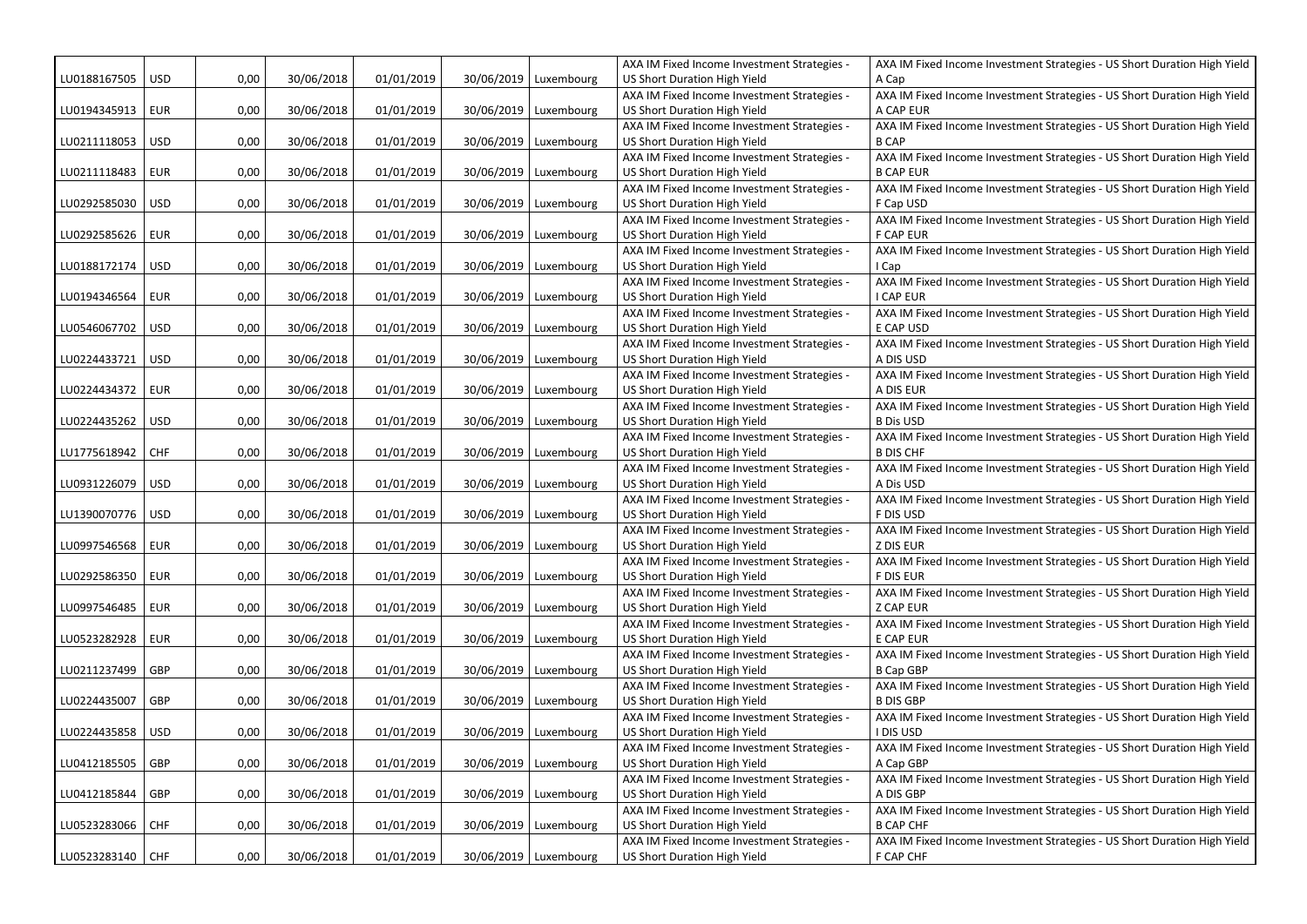|              |            |      |            |            |            |                         | AXA IM Fixed Income Investment Strategies -                                 | AXA IM Fixed Income Investment Strategies - US Short Duration High Yield                     |
|--------------|------------|------|------------|------------|------------|-------------------------|-----------------------------------------------------------------------------|----------------------------------------------------------------------------------------------|
| LU0188167505 | <b>USD</b> | 0,00 | 30/06/2018 | 01/01/2019 | 30/06/2019 | Luxembourg              | US Short Duration High Yield                                                | A Cap                                                                                        |
|              |            |      |            |            |            |                         | AXA IM Fixed Income Investment Strategies -                                 | AXA IM Fixed Income Investment Strategies - US Short Duration High Yield                     |
| LU0194345913 | <b>EUR</b> | 0,00 | 30/06/2018 | 01/01/2019 | 30/06/2019 | Luxembourg              | US Short Duration High Yield                                                | A CAP EUR                                                                                    |
|              |            |      |            |            |            |                         | AXA IM Fixed Income Investment Strategies -                                 | AXA IM Fixed Income Investment Strategies - US Short Duration High Yield                     |
| LU0211118053 | <b>USD</b> | 0,00 | 30/06/2018 | 01/01/2019 |            | 30/06/2019   Luxembourg | US Short Duration High Yield                                                | <b>B CAP</b>                                                                                 |
|              |            |      |            |            |            |                         | AXA IM Fixed Income Investment Strategies -                                 | AXA IM Fixed Income Investment Strategies - US Short Duration High Yield                     |
| LU0211118483 | EUR        | 0,00 | 30/06/2018 | 01/01/2019 |            | 30/06/2019 Luxembourg   | US Short Duration High Yield                                                | <b>B CAP EUR</b>                                                                             |
|              |            |      |            |            |            |                         | AXA IM Fixed Income Investment Strategies -                                 | AXA IM Fixed Income Investment Strategies - US Short Duration High Yield                     |
| LU0292585030 | <b>USD</b> | 0,00 | 30/06/2018 | 01/01/2019 |            | 30/06/2019   Luxembourg | US Short Duration High Yield                                                | F Cap USD                                                                                    |
|              |            |      |            |            |            |                         | AXA IM Fixed Income Investment Strategies -                                 | AXA IM Fixed Income Investment Strategies - US Short Duration High Yield                     |
| LU0292585626 | <b>EUR</b> | 0,00 | 30/06/2018 | 01/01/2019 |            | 30/06/2019   Luxembourg | US Short Duration High Yield                                                | <b>F CAP EUR</b>                                                                             |
|              |            |      |            |            |            |                         | AXA IM Fixed Income Investment Strategies -                                 | AXA IM Fixed Income Investment Strategies - US Short Duration High Yield                     |
| LU0188172174 | <b>USD</b> | 0,00 | 30/06/2018 | 01/01/2019 |            | 30/06/2019 Luxembourg   | US Short Duration High Yield                                                | I Cap                                                                                        |
|              |            |      |            |            |            |                         | AXA IM Fixed Income Investment Strategies -                                 | AXA IM Fixed Income Investment Strategies - US Short Duration High Yield                     |
| LU0194346564 | <b>EUR</b> | 0,00 | 30/06/2018 | 01/01/2019 | 30/06/2019 | Luxembourg              | US Short Duration High Yield                                                | I CAP EUR<br>AXA IM Fixed Income Investment Strategies - US Short Duration High Yield        |
| LU0546067702 | <b>USD</b> | 0,00 | 30/06/2018 | 01/01/2019 |            | 30/06/2019 Luxembourg   | AXA IM Fixed Income Investment Strategies -<br>US Short Duration High Yield | E CAP USD                                                                                    |
|              |            |      |            |            |            |                         | AXA IM Fixed Income Investment Strategies -                                 | AXA IM Fixed Income Investment Strategies - US Short Duration High Yield                     |
| LU0224433721 | <b>USD</b> | 0,00 | 30/06/2018 | 01/01/2019 |            | 30/06/2019   Luxembourg | US Short Duration High Yield                                                | A DIS USD                                                                                    |
|              |            |      |            |            |            |                         | AXA IM Fixed Income Investment Strategies -                                 | AXA IM Fixed Income Investment Strategies - US Short Duration High Yield                     |
| LU0224434372 | EUR        | 0,00 | 30/06/2018 | 01/01/2019 |            | 30/06/2019 Luxembourg   | US Short Duration High Yield                                                | A DIS EUR                                                                                    |
|              |            |      |            |            |            |                         | AXA IM Fixed Income Investment Strategies -                                 | AXA IM Fixed Income Investment Strategies - US Short Duration High Yield                     |
| LU0224435262 | <b>USD</b> | 0,00 | 30/06/2018 | 01/01/2019 |            | 30/06/2019   Luxembourg | US Short Duration High Yield                                                | <b>B Dis USD</b>                                                                             |
|              |            |      |            |            |            |                         | AXA IM Fixed Income Investment Strategies -                                 | AXA IM Fixed Income Investment Strategies - US Short Duration High Yield                     |
| LU1775618942 | <b>CHF</b> | 0,00 | 30/06/2018 | 01/01/2019 |            | 30/06/2019   Luxembourg | US Short Duration High Yield                                                | <b>B DIS CHF</b>                                                                             |
|              |            |      |            |            |            |                         | AXA IM Fixed Income Investment Strategies -                                 | AXA IM Fixed Income Investment Strategies - US Short Duration High Yield                     |
| LU0931226079 | <b>USD</b> | 0,00 | 30/06/2018 | 01/01/2019 |            | 30/06/2019 Luxembourg   | US Short Duration High Yield                                                | A Dis USD                                                                                    |
|              |            |      |            |            |            |                         | AXA IM Fixed Income Investment Strategies -                                 | AXA IM Fixed Income Investment Strategies - US Short Duration High Yield                     |
| LU1390070776 | <b>USD</b> | 0,00 | 30/06/2018 | 01/01/2019 | 30/06/2019 | Luxembourg              | US Short Duration High Yield                                                | F DIS USD                                                                                    |
|              |            |      |            |            |            |                         | AXA IM Fixed Income Investment Strategies -                                 | AXA IM Fixed Income Investment Strategies - US Short Duration High Yield                     |
| LU0997546568 | <b>EUR</b> | 0,00 | 30/06/2018 | 01/01/2019 |            | 30/06/2019 Luxembourg   | US Short Duration High Yield                                                | Z DIS EUR                                                                                    |
|              |            |      |            |            |            |                         | AXA IM Fixed Income Investment Strategies -                                 | AXA IM Fixed Income Investment Strategies - US Short Duration High Yield                     |
| LU0292586350 | <b>EUR</b> | 0,00 | 30/06/2018 | 01/01/2019 | 30/06/2019 | Luxembourg              | US Short Duration High Yield                                                | <b>F DIS EUR</b>                                                                             |
|              |            |      |            |            |            |                         | AXA IM Fixed Income Investment Strategies -                                 | AXA IM Fixed Income Investment Strategies - US Short Duration High Yield                     |
| LU0997546485 | <b>EUR</b> | 0,00 | 30/06/2018 | 01/01/2019 |            | 30/06/2019 Luxembourg   | US Short Duration High Yield                                                | <b>Z CAP EUR</b>                                                                             |
|              |            |      |            |            |            |                         | AXA IM Fixed Income Investment Strategies -                                 | AXA IM Fixed Income Investment Strategies - US Short Duration High Yield                     |
| LU0523282928 | <b>EUR</b> | 0.00 | 30/06/2018 | 01/01/2019 |            | 30/06/2019 Luxembourg   | US Short Duration High Yield                                                | E CAP EUR                                                                                    |
|              |            |      |            |            |            |                         | AXA IM Fixed Income Investment Strategies -                                 | AXA IM Fixed Income Investment Strategies - US Short Duration High Yield                     |
| LU0211237499 | GBP        | 0,00 | 30/06/2018 | 01/01/2019 |            | 30/06/2019 Luxembourg   | US Short Duration High Yield                                                | <b>B Cap GBP</b>                                                                             |
|              |            |      |            |            |            |                         | AXA IM Fixed Income Investment Strategies -                                 | AXA IM Fixed Income Investment Strategies - US Short Duration High Yield                     |
| LU0224435007 | GBP        | 0,00 | 30/06/2018 | 01/01/2019 |            | 30/06/2019 Luxembourg   | US Short Duration High Yield                                                | <b>B DIS GBP</b>                                                                             |
|              |            |      |            |            |            |                         | AXA IM Fixed Income Investment Strategies -                                 | AXA IM Fixed Income Investment Strategies - US Short Duration High Yield                     |
| LU0224435858 | <b>USD</b> | 0,00 | 30/06/2018 | 01/01/2019 |            | 30/06/2019 Luxembourg   | US Short Duration High Yield                                                | I DIS USD                                                                                    |
|              |            |      |            |            |            |                         | AXA IM Fixed Income Investment Strategies -                                 | AXA IM Fixed Income Investment Strategies - US Short Duration High Yield                     |
| LU0412185505 | GBP        | 0,00 | 30/06/2018 | 01/01/2019 |            | 30/06/2019 Luxembourg   | US Short Duration High Yield                                                | A Cap GBP                                                                                    |
|              |            | 0,00 |            |            |            |                         | AXA IM Fixed Income Investment Strategies -                                 | AXA IM Fixed Income Investment Strategies - US Short Duration High Yield                     |
| LU0412185844 | GBP        |      | 30/06/2018 | 01/01/2019 |            | 30/06/2019   Luxembourg | US Short Duration High Yield                                                | A DIS GBP                                                                                    |
| LU0523283066 | <b>CHF</b> | 0,00 | 30/06/2018 | 01/01/2019 |            | 30/06/2019 Luxembourg   | AXA IM Fixed Income Investment Strategies -<br>US Short Duration High Yield | AXA IM Fixed Income Investment Strategies - US Short Duration High Yield<br><b>B CAP CHF</b> |
|              |            |      |            |            |            |                         | AXA IM Fixed Income Investment Strategies -                                 | AXA IM Fixed Income Investment Strategies - US Short Duration High Yield                     |
| LU0523283140 | CHF        | 0,00 | 30/06/2018 | 01/01/2019 |            | 30/06/2019 Luxembourg   | US Short Duration High Yield                                                | F CAP CHF                                                                                    |
|              |            |      |            |            |            |                         |                                                                             |                                                                                              |